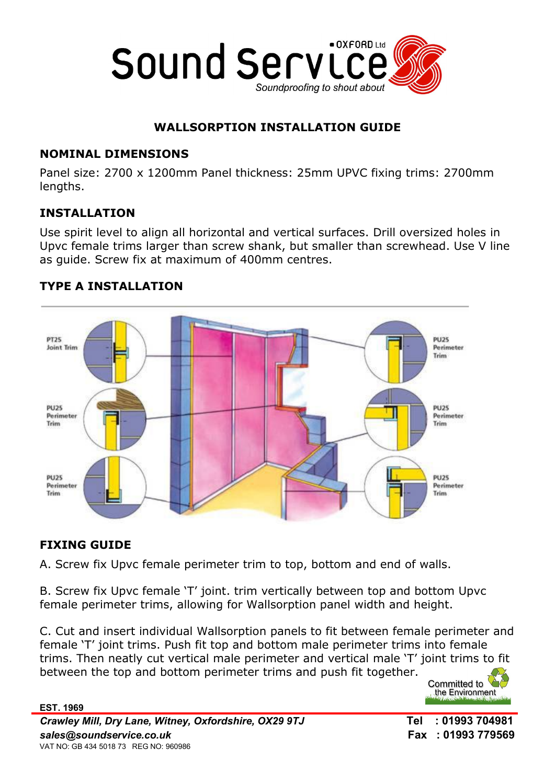

# WALLSORPTION INSTALLATION GUIDE

### NOMINAL DIMENSIONS

Panel size: 2700 x 1200mm Panel thickness: 25mm UPVC fixing trims: 2700mm lengths.

# INSTALLATION

Use spirit level to align all horizontal and vertical surfaces. Drill oversized holes in Upvc female trims larger than screw shank, but smaller than screwhead. Use V line as guide. Screw fix at maximum of 400mm centres.



### TYPE A INSTALLATION

### FIXING GUIDE

A. Screw fix Upvc female perimeter trim to top, bottom and end of walls.

B. Screw fix Upvc female 'T' joint. trim vertically between top and bottom Upvc female perimeter trims, allowing for Wallsorption panel width and height.

C. Cut and insert individual Wallsorption panels to fit between female perimeter and female 'T' joint trims. Push fit top and bottom male perimeter trims into female trims. Then neatly cut vertical male perimeter and vertical male 'T' joint trims to fit between the top and bottom perimeter trims and push fit together.

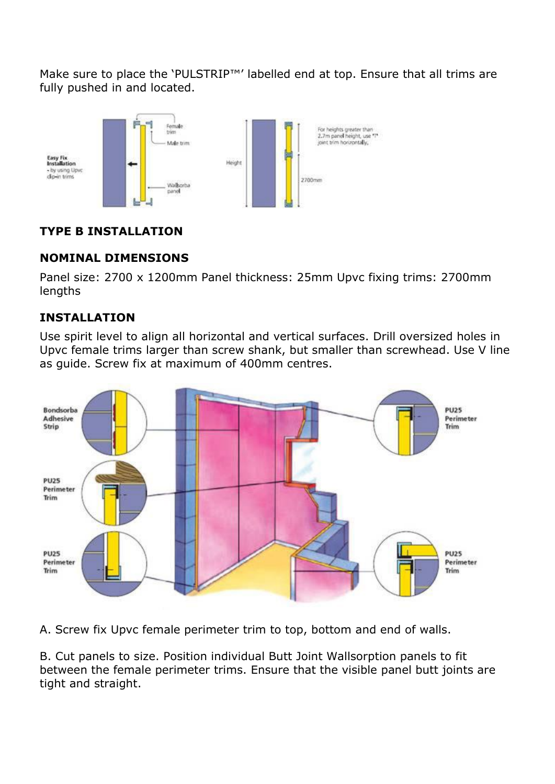Make sure to place the 'PULSTRIP™' labelled end at top. Ensure that all trims are fully pushed in and located.



# TYPE B INSTALLATION

# NOMINAL DIMENSIONS

Panel size: 2700 x 1200mm Panel thickness: 25mm Upvc fixing trims: 2700mm lengths

# INSTALLATION

Use spirit level to align all horizontal and vertical surfaces. Drill oversized holes in Upvc female trims larger than screw shank, but smaller than screwhead. Use V line as guide. Screw fix at maximum of 400mm centres.



A. Screw fix Upvc female perimeter trim to top, bottom and end of walls.

B. Cut panels to size. Position individual Butt Joint Wallsorption panels to fit between the female perimeter trims. Ensure that the visible panel butt joints are tight and straight.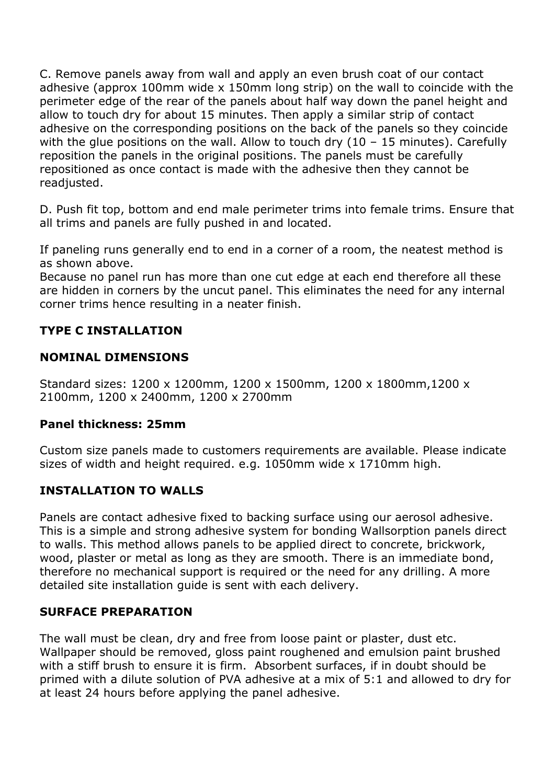C. Remove panels away from wall and apply an even brush coat of our contact adhesive (approx 100mm wide x 150mm long strip) on the wall to coincide with the perimeter edge of the rear of the panels about half way down the panel height and allow to touch dry for about 15 minutes. Then apply a similar strip of contact adhesive on the corresponding positions on the back of the panels so they coincide with the glue positions on the wall. Allow to touch dry  $(10 - 15$  minutes). Carefully reposition the panels in the original positions. The panels must be carefully repositioned as once contact is made with the adhesive then they cannot be readjusted.

D. Push fit top, bottom and end male perimeter trims into female trims. Ensure that all trims and panels are fully pushed in and located.

If paneling runs generally end to end in a corner of a room, the neatest method is as shown above.

Because no panel run has more than one cut edge at each end therefore all these are hidden in corners by the uncut panel. This eliminates the need for any internal corner trims hence resulting in a neater finish.

# TYPE C INSTALLATION

### NOMINAL DIMENSIONS

Standard sizes: 1200 x 1200mm, 1200 x 1500mm, 1200 x 1800mm,1200 x 2100mm, 1200 x 2400mm, 1200 x 2700mm

#### Panel thickness: 25mm

Custom size panels made to customers requirements are available. Please indicate sizes of width and height required. e.g. 1050mm wide x 1710mm high.

### INSTALLATION TO WALLS

Panels are contact adhesive fixed to backing surface using our aerosol adhesive. This is a simple and strong adhesive system for bonding Wallsorption panels direct to walls. This method allows panels to be applied direct to concrete, brickwork, wood, plaster or metal as long as they are smooth. There is an immediate bond, therefore no mechanical support is required or the need for any drilling. A more detailed site installation guide is sent with each delivery.

#### SURFACE PREPARATION

The wall must be clean, dry and free from loose paint or plaster, dust etc. Wallpaper should be removed, gloss paint roughened and emulsion paint brushed with a stiff brush to ensure it is firm. Absorbent surfaces, if in doubt should be primed with a dilute solution of PVA adhesive at a mix of 5:1 and allowed to dry for at least 24 hours before applying the panel adhesive.